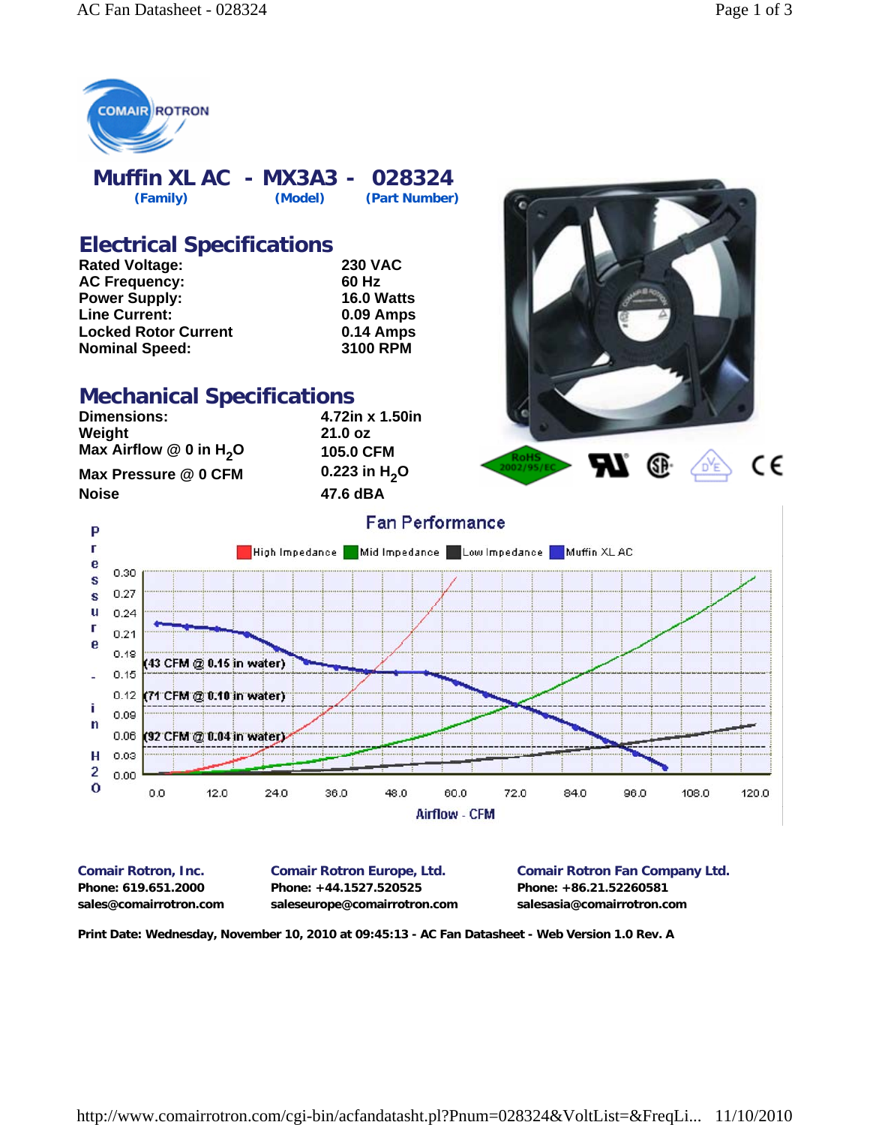

**Muffin XL AC - MX3A3 - 028324 (Family) (Model) (Part Number)**

### **Electrical Specifications**

| <b>Rated Voltage:</b>       | <b>230 VAC</b>    |
|-----------------------------|-------------------|
| <b>AC Frequency:</b>        | 60 Hz             |
| <b>Power Supply:</b>        | <b>16.0 Watts</b> |
| <b>Line Current:</b>        | <b>0.09 Amps</b>  |
| <b>Locked Rotor Current</b> | 0.14 Amps         |
| <b>Nominal Speed:</b>       | <b>3100 RPM</b>   |

#### **Mechanical Specifications**

**Dimensions: 4.72in x 1.50in Weight Max Airflow @ 0 in H<sub>2</sub>O <b>105.0 CFM Max Pressure @ 0 CFM** 0.223 in H<sub>2</sub>O<br>Noise 47.6 dBA

P г

e

S

Г

e

Î.

 $\mathbf n$ 

 $\overline{c}$ 

**Noise 47.6 dBA**



**Fan Performance** High Impedance Mid Impedance Low Impedance Muffin XL AC 0.30 0.27 s u  $0.24$  $0.21$  $0.18$ 43 CFM @ 0.15 in water)  $0.15$  $0.12$ (71 CFM @ 0.10 in water)  $0.09$  $0.06$ (92 CFM @ 0.04 in water) н  $0.03$  $0.00$  $\mathbf 0$  $0.0$  $12.0$  $24.0$ 36.0 48.0 60.0 72.0 84.0 96.0 108.0 120.0

**Airflow - CFM** 

**Phone: 619.651.2000 Phone: +44.1527.520525 Phone: +86.21.52260581 sales@comairrotron.com saleseurope@comairrotron.com salesasia@comairrotron.com**

**Comair Rotron, Inc. Comair Rotron Europe, Ltd. Comair Rotron Fan Company Ltd.**

**Print Date: Wednesday, November 10, 2010 at 09:45:13 - AC Fan Datasheet - Web Version 1.0 Rev. A**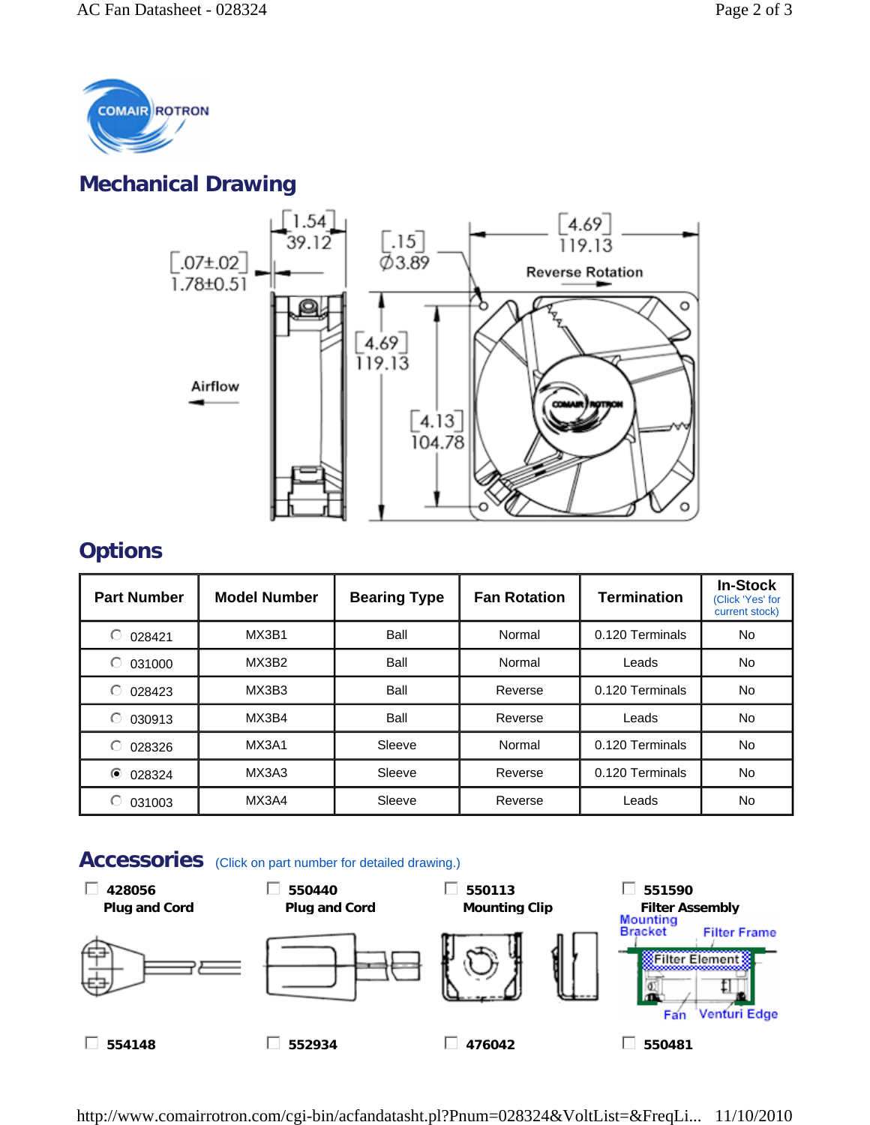

# **Mechanical Drawing**



# **Options**

| <b>Part Number</b> | <b>Model Number</b> | <b>Bearing Type</b> | <b>Fan Rotation</b> | <b>Termination</b> | <b>In-Stock</b><br>(Click 'Yes' for<br>current stock) |
|--------------------|---------------------|---------------------|---------------------|--------------------|-------------------------------------------------------|
| ⊙<br>028421        | MX3B1               | Ball                | Normal              | 0.120 Terminals    | <b>No</b>                                             |
| ⊙<br>031000        | MX3B2               | Ball                | Normal              | Leads              | No.                                                   |
| ⊙<br>028423        | MX3B3               | Ball                | Reverse             | 0.120 Terminals    | No.                                                   |
| $\odot$<br>030913  | MX3B4               | Ball                | Reverse             | Leads              | No.                                                   |
| ∩<br>028326        | MX3A1               | Sleeve              | Normal              | 0.120 Terminals    | No.                                                   |
| $\odot$<br>028324  | MX3A3               | Sleeve              | Reverse             | 0.120 Terminals    | No.                                                   |
| 031003             | MX3A4               | Sleeve              | Reverse             | Leads              | No.                                                   |

#### Accessories (Click on part number for detailed drawing.)



http://www.comairrotron.com/cgi-bin/acfandatasht.pl?Pnum=028324&VoltList=&FreqLi... 11/10/2010